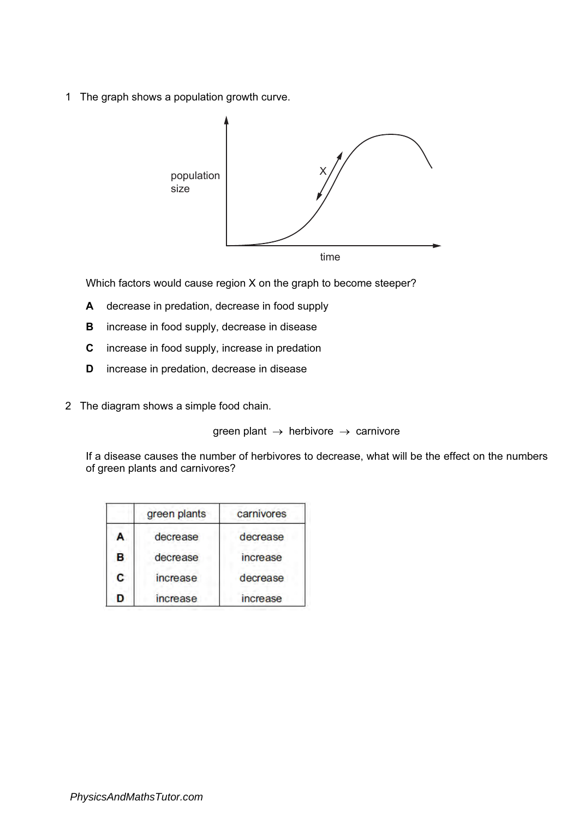1 The graph shows a population growth curve.



Which factors would cause region X on the graph to become steeper?

- A decrease in predation, decrease in food supply
- B increase in food supply, decrease in disease
- C increase in food supply, increase in predation
- D increase in predation, decrease in disease
- 2 The diagram shows a simple food chain.

green plant  $\rightarrow$  herbivore  $\rightarrow$  carnivore

If a disease causes the number of herbivores to decrease, what will be the effect on the numbers of green plants and carnivores?

|   | green plants | carnivores |
|---|--------------|------------|
| A | decrease     | decrease   |
| B | decrease     | increase   |
| C | increase     | decrease   |
| D | increase     | increase   |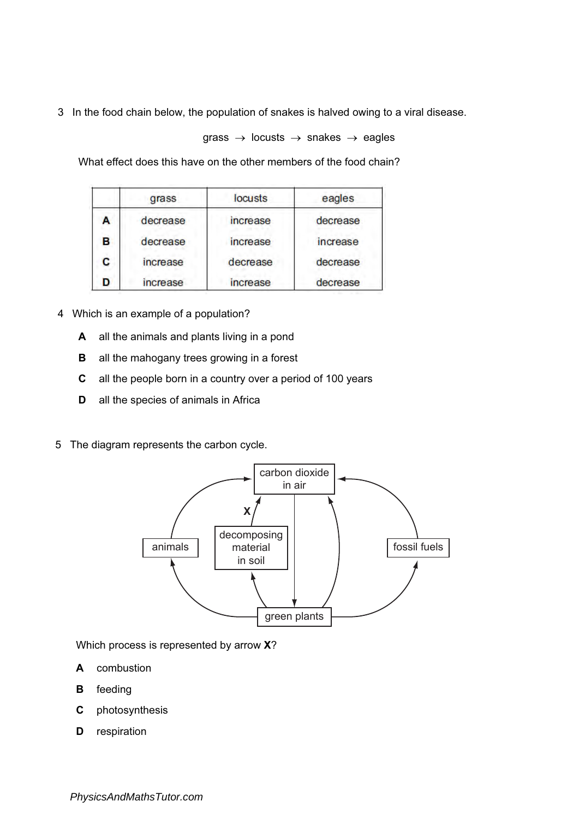3 In the food chain below, the population of snakes is halved owing to a viral disease.

grass  $\rightarrow$  locusts  $\rightarrow$  snakes  $\rightarrow$  eagles

What effect does this have on the other members of the food chain?

|   | grass    | locusts  | eagles   |
|---|----------|----------|----------|
| A | decrease | increase | decrease |
| в | decrease | increase | increase |
| c | increase | decrease | decrease |
|   | increase | increase | decrease |

- 4 Which is an example of a population?
	- A all the animals and plants living in a pond
	- **B** all the mahogany trees growing in a forest
	- C all the people born in a country over a period of 100 years
	- **D** all the species of animals in Africa
- 5 The diagram represents the carbon cycle.



Which process is represented by arrow X?

- A combustion
- B feeding
- C photosynthesis
- **D** respiration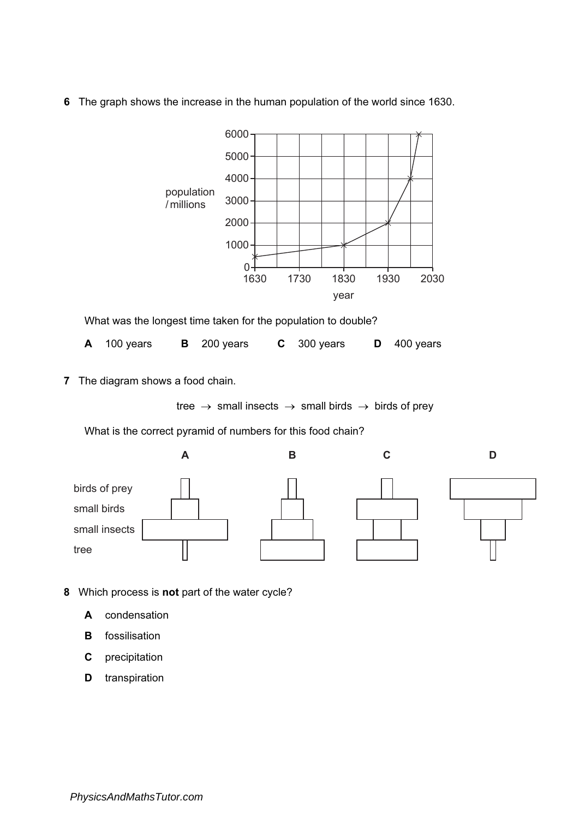6 The graph shows the increase in the human population of the world since 1630.



What was the longest time taken for the population to double?

|  | A 100 years |  | <b>B</b> 200 years |  | $C$ 300 years |  | $D$ 400 years |
|--|-------------|--|--------------------|--|---------------|--|---------------|
|--|-------------|--|--------------------|--|---------------|--|---------------|

7 The diagram shows a food chain.

tree  $\rightarrow$  small insects  $\rightarrow$  small birds  $\rightarrow$  birds of prey

What is the correct pyramid of numbers for this food chain?



- 8 Which process is not part of the water cycle?
	- A condensation
	- **B** fossilisation
	- C precipitation
	- D transpiration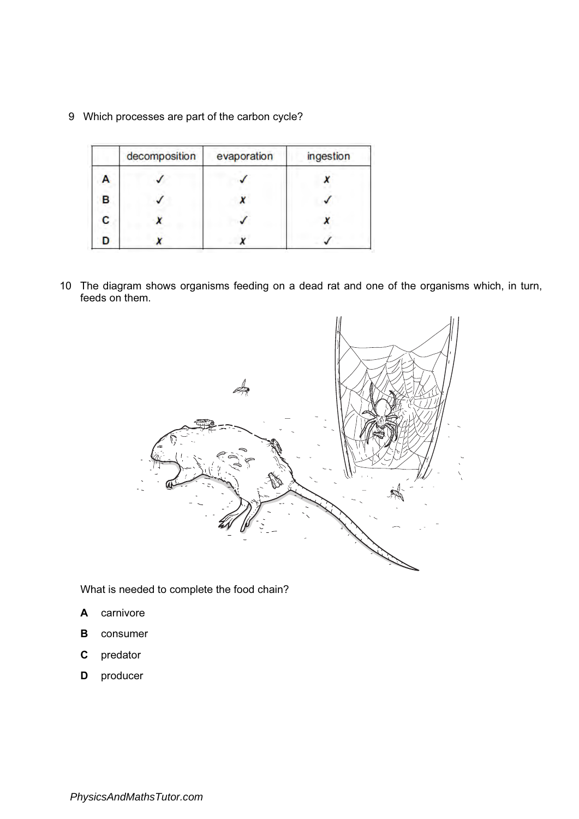9 Which processes are part of the carbon cycle?

|   | decomposition | evaporation | ingestion |
|---|---------------|-------------|-----------|
| Ą |               |             |           |
| B |               |             |           |
| С |               |             |           |
| D |               |             |           |

10 The diagram shows organisms feeding on a dead rat and one of the organisms which, in turn, feeds on them.



What is needed to complete the food chain?

- A carnivore
- B consumer
- C predator
- D producer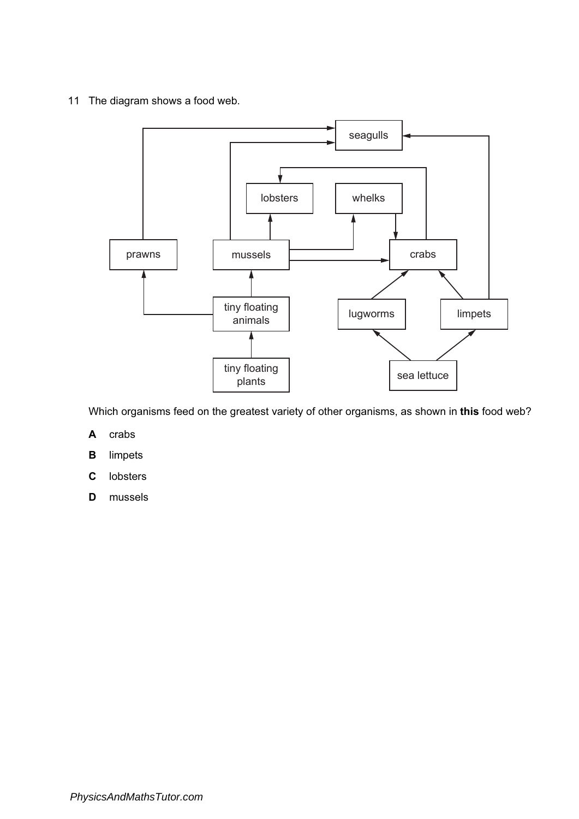11 The diagram shows a food web.



Which organisms feed on the greatest variety of other organisms, as shown in this food web?

- A crabs
- B limpets
- C lobsters
- D mussels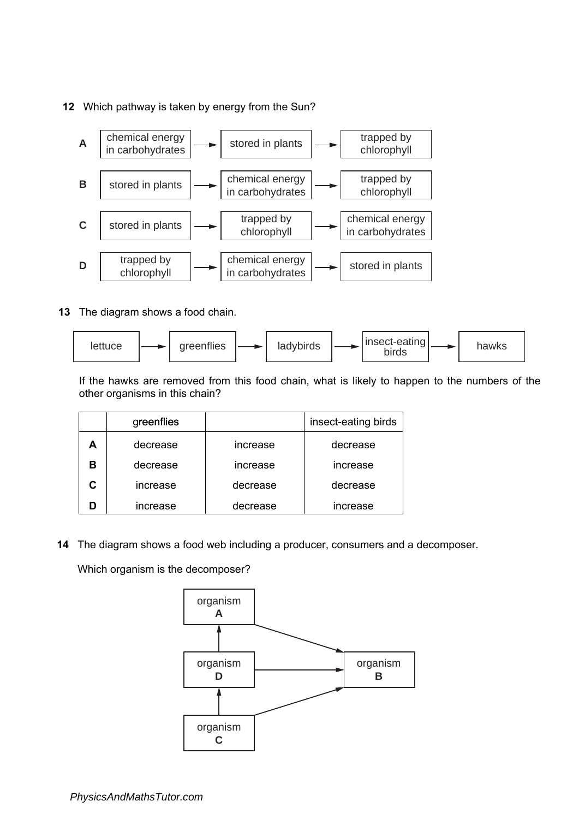**12** Which pathway is taken by energy from the Sun?



**13** The diagram shows a food chain.



If the hawks are removed from this food chain, what is likely to happen to the numbers of the other organisms in this chain?

|   | greenflies |          | insect-eating birds |
|---|------------|----------|---------------------|
| А | decrease   | increase | decrease            |
| в | decrease   | increase | increase            |
|   | increase   | decrease | decrease            |
|   | increase   | decrease | increase            |

**14** The diagram shows a food web including a producer, consumers and a decomposer.

Which organism is the decomposer?

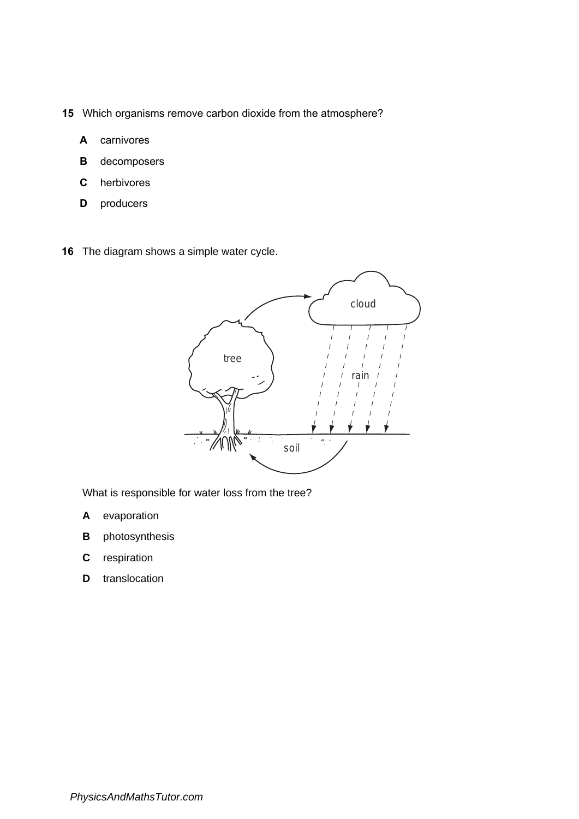- **15** Which organisms remove carbon dioxide from the atmosphere?
	- **A** carnivores
	- **B** decomposers
	- **C** herbivores
	- **D** producers
- **16** The diagram shows a simple water cycle.



What is responsible for water loss from the tree?

- **A** evaporation
- **B** photosynthesis
- **C** respiration
- **D** translocation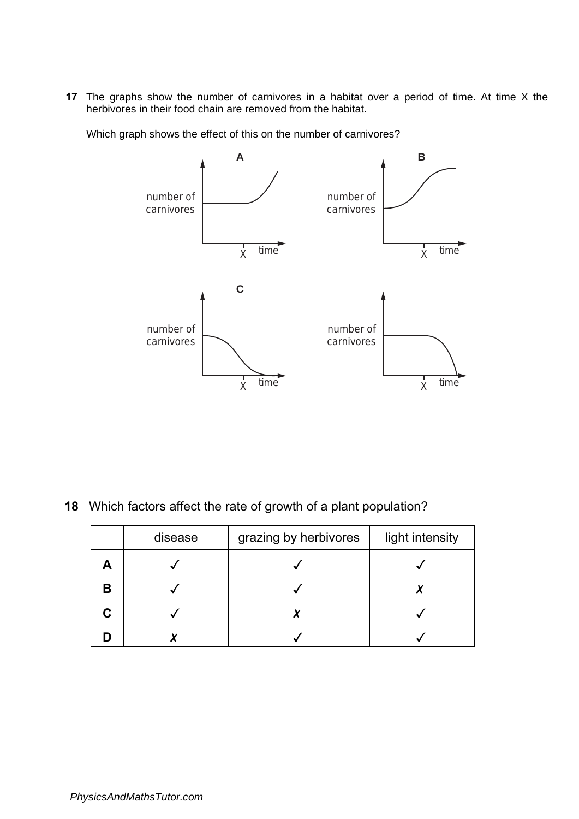**17** The graphs show the number of carnivores in a habitat over a period of time. At time X the herbivores in their food chain are removed from the habitat.

Which graph shows the effect of this on the number of carnivores?



**18** Which factors affect the rate of growth of a plant population?

|   | disease | grazing by herbivores | light intensity |
|---|---------|-----------------------|-----------------|
|   |         |                       |                 |
| В |         |                       |                 |
|   |         |                       |                 |
|   |         |                       |                 |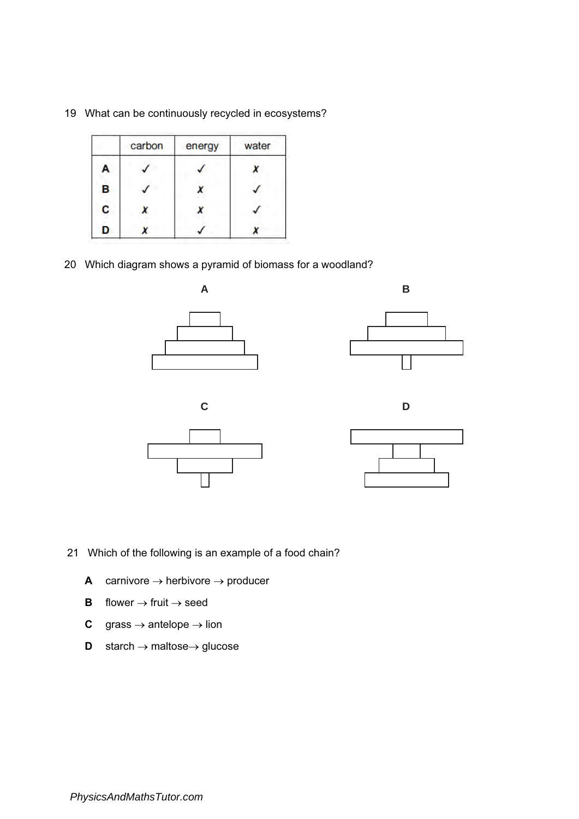|   | carbon | energy | water |
|---|--------|--------|-------|
| A |        |        |       |
| B |        |        |       |
| C |        |        |       |
| D |        |        |       |

19 What can be continuously recycled in ecosystems?

20 Which diagram shows a pyramid of biomass for a woodland?



- 21 Which of the following is an example of a food chain?
	- A carnivore  $\rightarrow$  herbivore  $\rightarrow$  producer
	- **B** flower  $\rightarrow$  fruit  $\rightarrow$  seed
	- **C** grass  $\rightarrow$  antelope  $\rightarrow$  lion
	- D starch → maltose→ glucose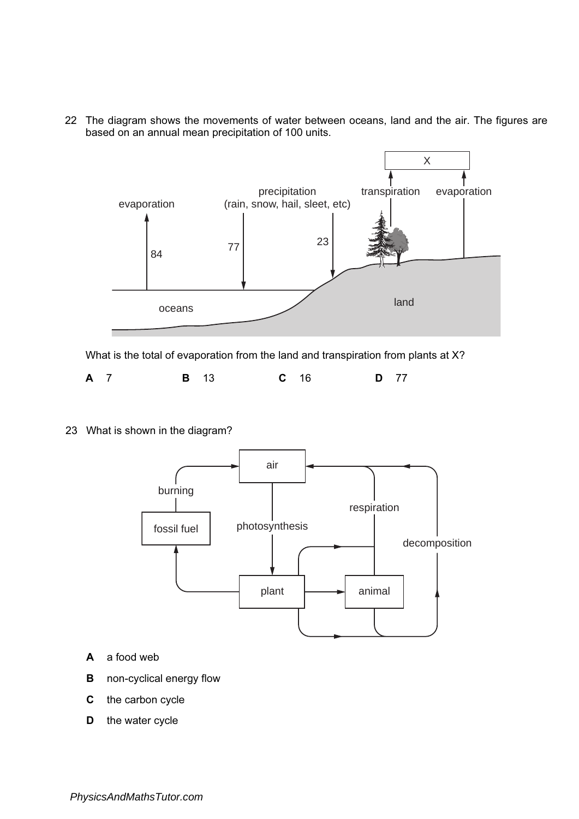22 The diagram shows the movements of water between oceans, land and the air. The figures are based on an annual mean precipitation of 100 units.



What is the total of evaporation from the land and transpiration from plants at X?

| <b>D</b> 77<br>$C$ 16<br>A 7<br><b>B</b> 13 |
|---------------------------------------------|
|---------------------------------------------|

23 What is shown in the diagram?



- A a food web
- **B** non-cyclical energy flow
- C the carbon cycle
- D the water cycle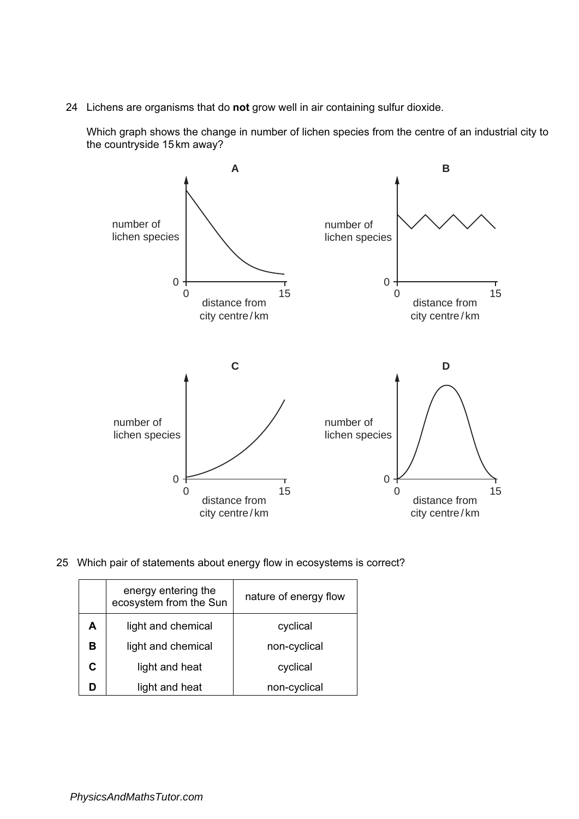24 Lichens are organisms that do not grow well in air containing sulfur dioxide.

Which graph shows the change in number of lichen species from the centre of an industrial city to the countryside 15km away?



25 Which pair of statements about energy flow in ecosystems is correct?

| energy entering the<br>ecosystem from the Sun |                    | nature of energy flow |
|-----------------------------------------------|--------------------|-----------------------|
| А                                             | light and chemical | cyclical              |
| в                                             | light and chemical | non-cyclical          |
| C.                                            | light and heat     | cyclical              |
|                                               | light and heat     | non-cyclical          |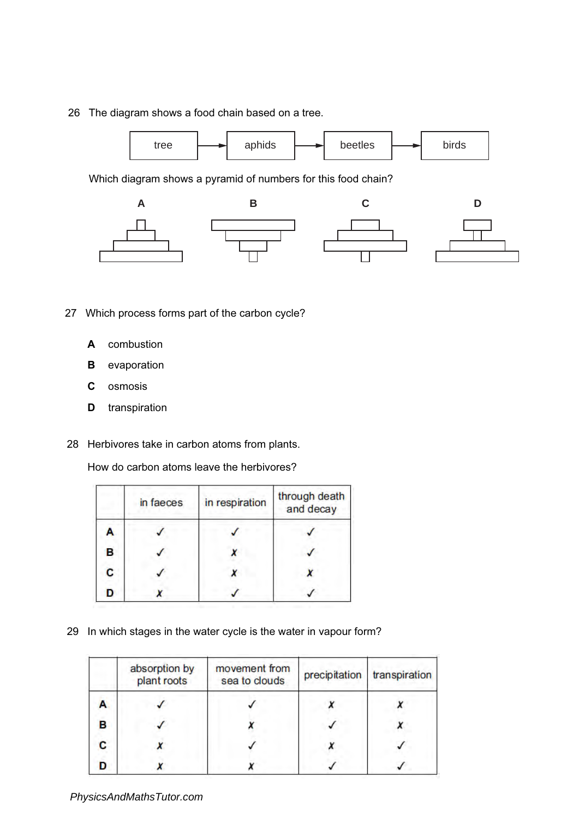26 The diagram shows a food chain based on a tree.



Which diagram shows a pyramid of numbers for this food chain?



- 27 Which process forms part of the carbon cycle?
	- A combustion
	- **B** evaporation
	- C osmosis
	- **D** transpiration
- 28 Herbivores take in carbon atoms from plants.

How do carbon atoms leave the herbivores?

|   | in faeces | in respiration | through death<br>and decay |
|---|-----------|----------------|----------------------------|
| Ą |           |                |                            |
| В |           |                |                            |
| C |           |                |                            |
| D |           |                |                            |

29 In which stages in the water cycle is the water in vapour form?

|   | absorption by<br>plant roots | movement from<br>sea to clouds | precipitation | transpiration |
|---|------------------------------|--------------------------------|---------------|---------------|
|   |                              |                                |               |               |
| в |                              |                                |               |               |
|   |                              |                                |               |               |
|   |                              |                                |               |               |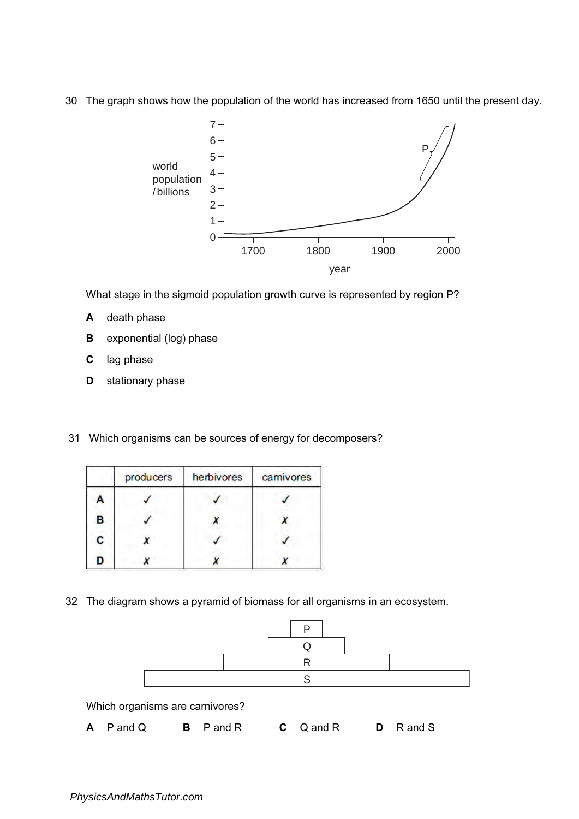30 The graph shows how the population of the world has increased from 1650 until the present day.



What stage in the sigmoid population growth curve is represented by region P?

- A death phase
- **B** exponential (log) phase
- C lag phase
- D stationary phase
- 31 Which organisms can be sources of energy for decomposers?

|   | producers | herbivores | carnivores |
|---|-----------|------------|------------|
| А |           |            |            |
| В |           |            |            |
| C |           |            |            |
| n |           |            |            |

32 The diagram shows a pyramid of biomass for all organisms in an ecosystem.

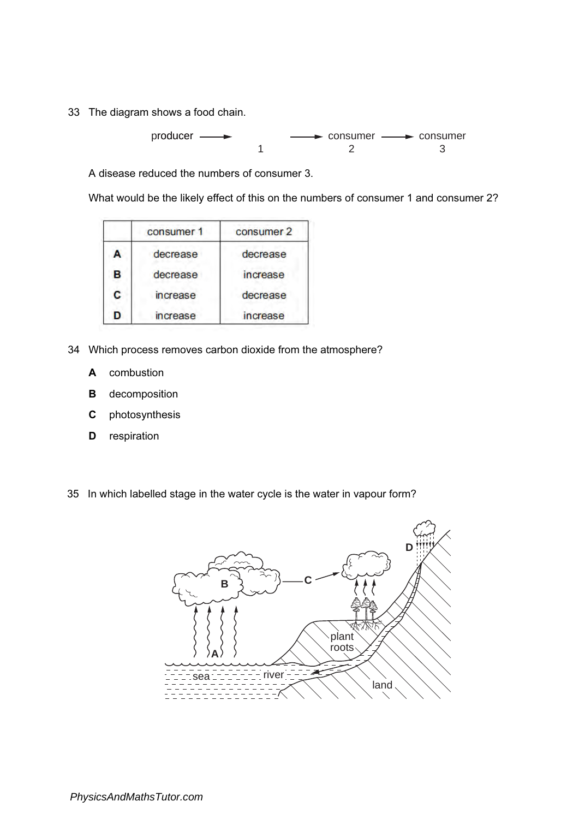33 The diagram shows a food chain.

$$
product \longrightarrow 1
$$

A disease reduced the numbers of consumer 3.

What would be the likely effect of this on the numbers of consumer 1 and consumer 2?

|   | consumer 1 | consumer 2 |
|---|------------|------------|
| А | decrease   | decrease   |
| в | decrease   | increase   |
| C | increase   | decrease   |
| D | increase   | increase   |

- 34 Which process removes carbon dioxide from the atmosphere?
	- A combustion
	- B decomposition
	- C photosynthesis
	- **D** respiration
- 35 In which labelled stage in the water cycle is the water in vapour form?

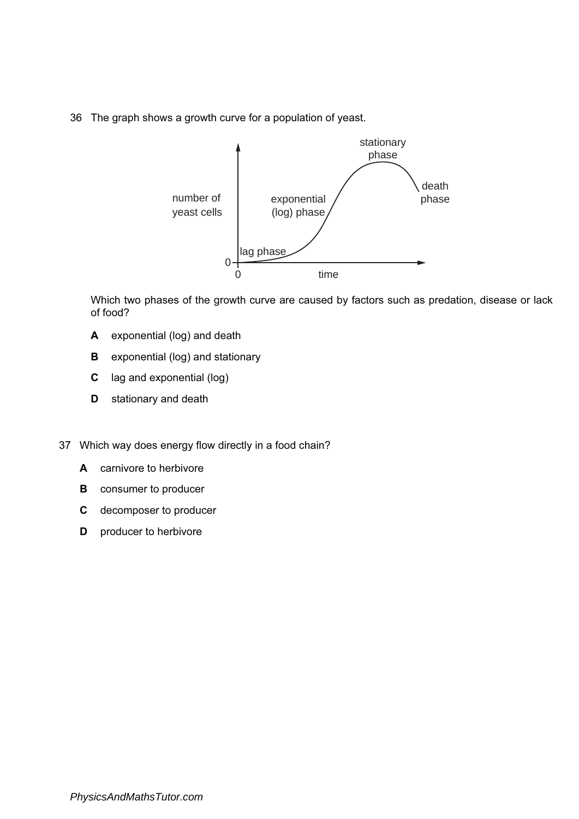36 The graph shows a growth curve for a population of yeast.



Which two phases of the growth curve are caused by factors such as predation, disease or lack of food?

- A exponential (log) and death
- **B** exponential (log) and stationary
- C lag and exponential (log)
- **D** stationary and death
- 37 Which way does energy flow directly in a food chain?
	- A carnivore to herbivore
	- **B** consumer to producer
	- C decomposer to producer
	- **D** producer to herbivore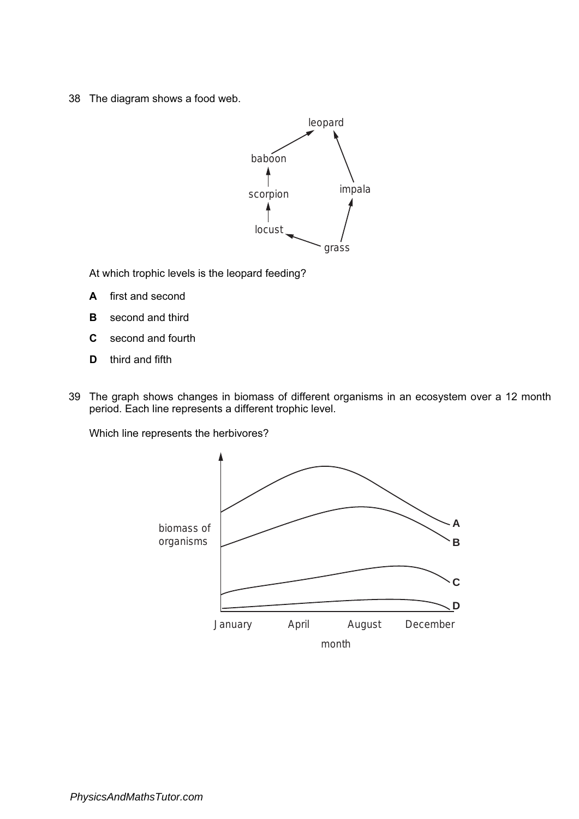38 The diagram shows a food web.



At which trophic levels is the leopard feeding?

- A first and second
- **B** second and third
- C second and fourth
- **D** third and fifth
- 39 The graph shows changes in biomass of different organisms in an ecosystem over a 12 month period. Each line represents a different trophic level.

Which line represents the herbivores?

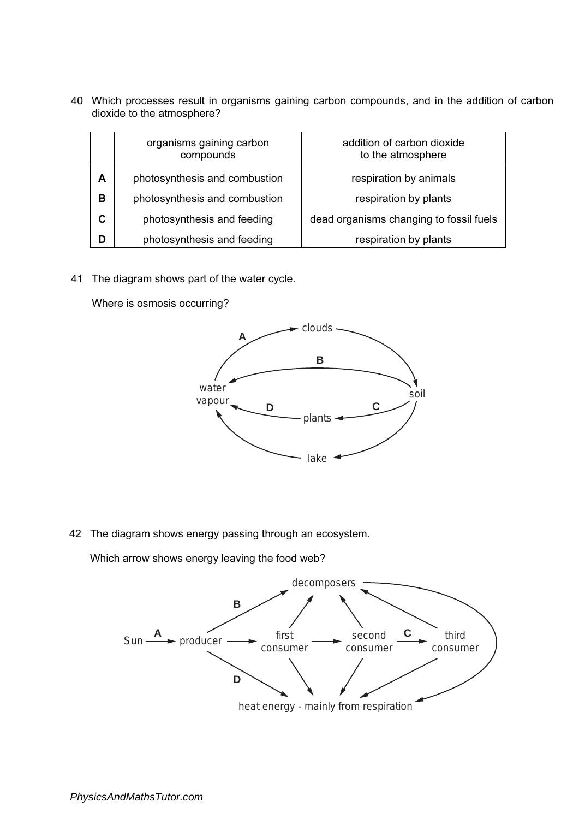40 Which processes result in organisms gaining carbon compounds, and in the addition of carbon dioxide to the atmosphere?

|   | organisms gaining carbon<br>compounds | addition of carbon dioxide<br>to the atmosphere |
|---|---------------------------------------|-------------------------------------------------|
| А | photosynthesis and combustion         | respiration by animals                          |
| в | photosynthesis and combustion         | respiration by plants                           |
| C | photosynthesis and feeding            | dead organisms changing to fossil fuels         |
|   | photosynthesis and feeding            | respiration by plants                           |

41 The diagram shows part of the water cycle.

Where is osmosis occurring?



42 The diagram shows energy passing through an ecosystem.

Which arrow shows energy leaving the food web?

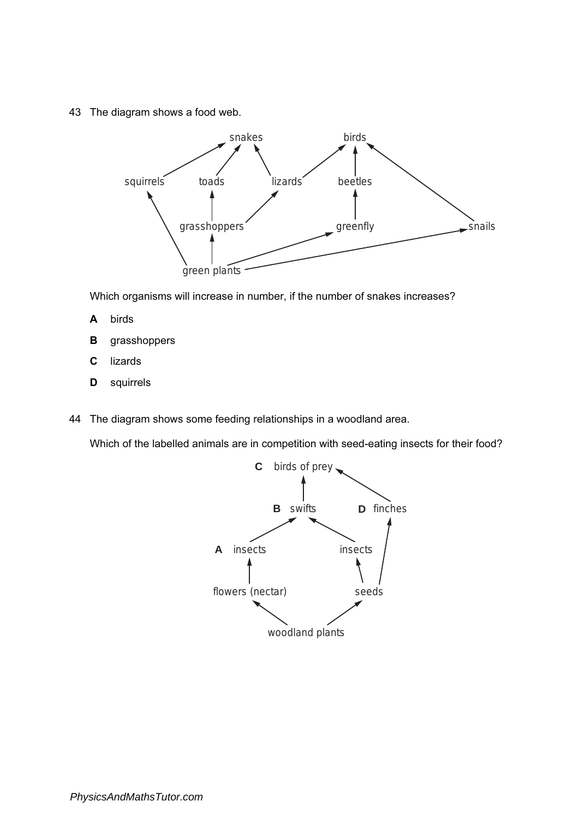43 The diagram shows a food web.



Which organisms will increase in number, if the number of snakes increases?

- A birds
- B grasshoppers
- C lizards
- **D** squirrels
- 44 The diagram shows some feeding relationships in a woodland area.

Which of the labelled animals are in competition with seed-eating insects for their food?

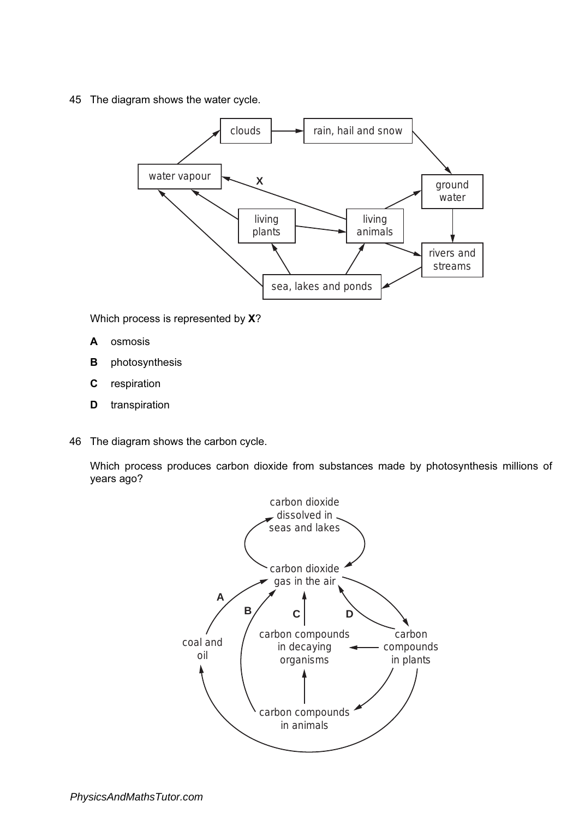45 The diagram shows the water cycle.



Which process is represented by **X**?

- A osmosis
- **B** photosynthesis
- C respiration
- D transpiration
- 46 The diagram shows the carbon cycle.

Which process produces carbon dioxide from substances made by photosynthesis millions of years ago?

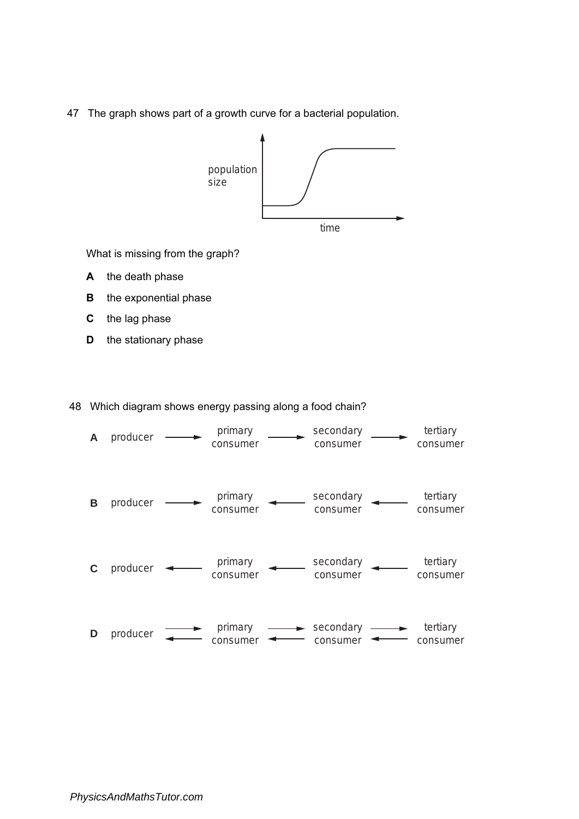47 The graph shows part of a growth curve for a bacterial population.



What is missing from the graph?

- A the death phase
- **B** the exponential phase
- C the lag phase
- D the stationary phase

48 Which diagram shows energy passing along a food chain?